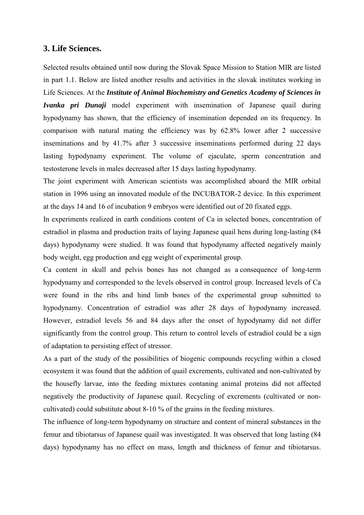## **3. Life Sciences.**

Selected results obtained until now during the Slovak Space Mission to Station MIR are listed in part 1.1. Below are listed another results and activities in the slovak institutes working in Life Sciences. At the *Institute of Animal Biochemistry and Genetics Academy of Sciences in Ivanka pri Dunaji* model experiment with insemination of Japanese quail during hypodynamy has shown, that the efficiency of insemination depended on its frequency. In comparison with natural mating the efficiency was by 62.8% lower after 2 successive inseminations and by 41.7% after 3 successive inseminations performed during 22 days lasting hypodynamy experiment. The volume of ejaculate, sperm concentration and testosterone levels in males decreased after 15 days lasting hypodynamy.

The joint experiment with American scientists was accomplished aboard the MIR orbital station in 1996 using an innovated module of the INCUBATOR-2 device. In this experiment at the days 14 and 16 of incubation 9 embryos were identified out of 20 fixated eggs.

In experiments realized in earth conditions content of Ca in selected bones, concentration of estradiol in plasma and production traits of laying Japanese quail hens during long-lasting (84 days) hypodynamy were studied. It was found that hypodynamy affected negatively mainly body weight, egg production and egg weight of experimental group.

Ca content in skull and pelvis bones has not changed as a consequence of long-term hypodynamy and corresponded to the levels observed in control group. Increased levels of Ca were found in the ribs and hind limb bones of the experimental group submitted to hypodynamy. Concentration of estradiol was after 28 days of hypodynamy increased. However, estradiol levels 56 and 84 days after the onset of hypodynamy did not differ significantly from the control group. This return to control levels of estradiol could be a sign of adaptation to persisting effect of stressor.

As a part of the study of the possibilities of biogenic compounds recycling within a closed ecosystem it was found that the addition of quail excrements, cultivated and non-cultivated by the housefly larvae, into the feeding mixtures contaning animal proteins did not affected negatively the productivity of Japanese quail. Recycling of excrements (cultivated or noncultivated) could substitute about 8-10 % of the grains in the feeding mixtures.

The influence of long-term hypodynamy on structure and content of mineral substances in the femur and tibiotarsus of Japanese quail was investigated. It was observed that long lasting (84 days) hypodynamy has no effect on mass, length and thickness of femur and tibiotarsus.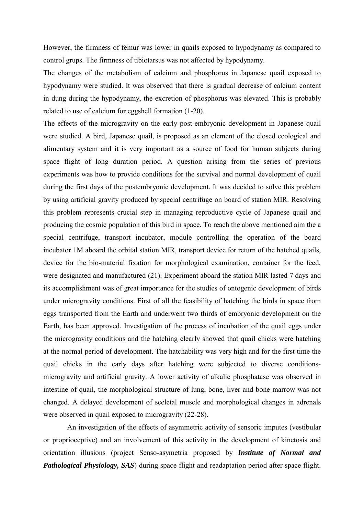However, the firmness of femur was lower in quails exposed to hypodynamy as compared to control grups. The firmness of tibiotarsus was not affected by hypodynamy.

The changes of the metabolism of calcium and phosphorus in Japanese quail exposed to hypodynamy were studied. It was observed that there is gradual decrease of calcium content in dung during the hypodynamy, the excretion of phosphorus was elevated. This is probably related to use of calcium for eggshell formation (1-20).

The effects of the microgravity on the early post-embryonic development in Japanese quail were studied. A bird, Japanese quail, is proposed as an element of the closed ecological and alimentary system and it is very important as a source of food for human subjects during space flight of long duration period. A question arising from the series of previous experiments was how to provide conditions for the survival and normal development of quail during the first days of the postembryonic development. It was decided to solve this problem by using artificial gravity produced by special centrifuge on board of station MIR. Resolving this problem represents crucial step in managing reproductive cycle of Japanese quail and producing the cosmic population of this bird in space. To reach the above mentioned aim the a special centrifuge, transport incubator, module controlling the operation of the board incubator 1M aboard the orbital station MIR, transport device for return of the hatched quails, device for the bio-material fixation for morphological examination, container for the feed, were designated and manufactured (21). Experiment aboard the station MIR lasted 7 days and its accomplishment was of great importance for the studies of ontogenic development of birds under microgravity conditions. First of all the feasibility of hatching the birds in space from eggs transported from the Earth and underwent two thirds of embryonic development on the Earth, has been approved. Investigation of the process of incubation of the quail eggs under the microgravity conditions and the hatching clearly showed that quail chicks were hatching at the normal period of development. The hatchability was very high and for the first time the quail chicks in the early days after hatching were subjected to diverse conditionsmicrogravity and artificial gravity. A lower activity of alkalic phosphatase was observed in intestine of quail, the morphological structure of lung, bone, liver and bone marrow was not changed. A delayed development of sceletal muscle and morphological changes in adrenals were observed in quail exposed to microgravity (22-28).

 An investigation of the effects of asymmetric activity of sensoric imputes (vestibular or proprioceptive) and an involvement of this activity in the development of kinetosis and orientation illusions (project Senso-asymetria proposed by *Institute of Normal and Pathological Physiology, SAS*) during space flight and readaptation period after space flight.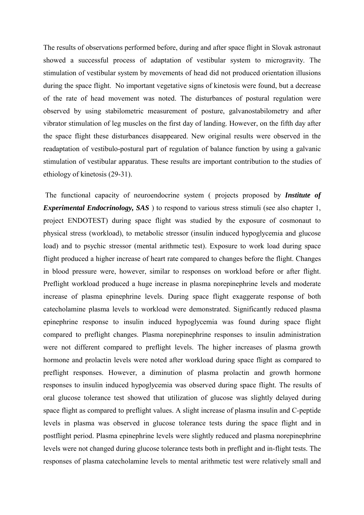The results of observations performed before, during and after space flight in Slovak astronaut showed a successful process of adaptation of vestibular system to microgravity. The stimulation of vestibular system by movements of head did not produced orientation illusions during the space flight. No important vegetative signs of kinetosis were found, but a decrease of the rate of head movement was noted. The disturbances of postural regulation were observed by using stabilometric measurement of posture, galvanostabilometry and after vibrator stimulation of leg muscles on the first day of landing. However, on the fifth day after the space flight these disturbances disappeared. New original results were observed in the readaptation of vestibulo-postural part of regulation of balance function by using a galvanic stimulation of vestibular apparatus. These results are important contribution to the studies of ethiology of kinetosis (29-31).

 The functional capacity of neuroendocrine system ( projects proposed by *Institute of Experimental Endocrinology, SAS*) to respond to various stress stimuli (see also chapter 1, project ENDOTEST) during space flight was studied by the exposure of cosmonaut to physical stress (workload), to metabolic stressor (insulin induced hypoglycemia and glucose load) and to psychic stressor (mental arithmetic test). Exposure to work load during space flight produced a higher increase of heart rate compared to changes before the flight. Changes in blood pressure were, however, similar to responses on workload before or after flight. Preflight workload produced a huge increase in plasma norepinephrine levels and moderate increase of plasma epinephrine levels. During space flight exaggerate response of both catecholamine plasma levels to workload were demonstrated. Significantly reduced plasma epinephrine response to insulin induced hypoglycemia was found during space flight compared to preflight changes. Plasma norepinephrine responses to insulin administration were not different compared to preflight levels. The higher increases of plasma growth hormone and prolactin levels were noted after workload during space flight as compared to preflight responses. However, a diminution of plasma prolactin and growth hormone responses to insulin induced hypoglycemia was observed during space flight. The results of oral glucose tolerance test showed that utilization of glucose was slightly delayed during space flight as compared to preflight values. A slight increase of plasma insulin and C-peptide levels in plasma was observed in glucose tolerance tests during the space flight and in postflight period. Plasma epinephrine levels were slightly reduced and plasma norepinephrine levels were not changed during glucose tolerance tests both in preflight and in-flight tests. The responses of plasma catecholamine levels to mental arithmetic test were relatively small and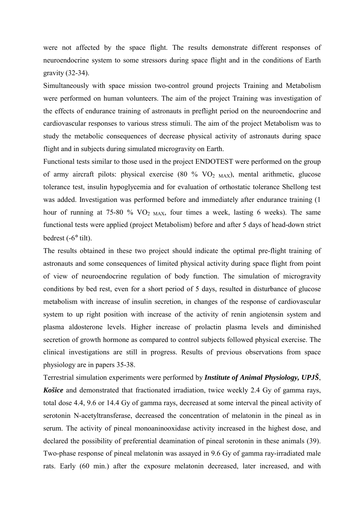were not affected by the space flight. The results demonstrate different responses of neuroendocrine system to some stressors during space flight and in the conditions of Earth gravity (32-34).

Simultaneously with space mission two-control ground projects Training and Metabolism were performed on human volunteers. The aim of the project Training was investigation of the effects of endurance training of astronauts in preflight period on the neuroendocrine and cardiovascular responses to various stress stimuli. The aim of the project Metabolism was to study the metabolic consequences of decrease physical activity of astronauts during space flight and in subjects during simulated microgravity on Earth.

Functional tests similar to those used in the project ENDOTEST were performed on the group of army aircraft pilots: physical exercise (80 % VO<sub>2 MAX</sub>), mental arithmetic, glucose tolerance test, insulin hypoglycemia and for evaluation of orthostatic tolerance Shellong test was added. Investigation was performed before and immediately after endurance training (1 hour of running at 75-80 %  $VO<sub>2 MAX</sub>$ , four times a week, lasting 6 weeks). The same functional tests were applied (project Metabolism) before and after 5 days of head-down strict bedrest (-6° tilt).

The results obtained in these two project should indicate the optimal pre-flight training of astronauts and some consequences of limited physical activity during space flight from point of view of neuroendocrine regulation of body function. The simulation of microgravity conditions by bed rest, even for a short period of 5 days, resulted in disturbance of glucose metabolism with increase of insulin secretion, in changes of the response of cardiovascular system to up right position with increase of the activity of renin angiotensin system and plasma aldosterone levels. Higher increase of prolactin plasma levels and diminished secretion of growth hormone as compared to control subjects followed physical exercise. The clinical investigations are still in progress. Results of previous observations from space physiology are in papers 35-38.

Terrestrial simulation experiments were performed by *Institute of Animal Physiology, UPJŠ*, *Košice* and demonstrated that fractionated irradiation, twice weekly 2.4 Gy of gamma rays, total dose 4.4, 9.6 or 14.4 Gy of gamma rays, decreased at some interval the pineal activity of serotonin N-acetyltransferase, decreased the concentration of melatonin in the pineal as in serum. The activity of pineal monoaninooxidase activity increased in the highest dose, and declared the possibility of preferential deamination of pineal serotonin in these animals (39). Two-phase response of pineal melatonin was assayed in 9.6 Gy of gamma ray-irradiated male rats. Early (60 min.) after the exposure melatonin decreased, later increased, and with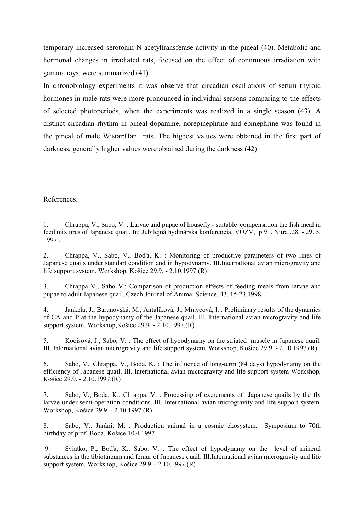temporary increased serotonin N-acetyltransferase activity in the pineal (40). Metabolic and hormonal changes in irradiated rats, focused on the effect of continuous irradiation with gamma rays, were summarized (41).

In chronobiology experiments it was observe that circadian oscillations of serum thyroid hormones in male rats were more pronounced in individual seasons comparing to the effects of selected photoperiods, when the experiments was realized in a single season (43). A distinct circadian rhythm in pineal dopamine, norepinephrine and epinephrine was found in the pineal of male Wistar:Han rats. The highest values were obtained in the first part of darkness, generally higher values were obtained during the darkness (42).

## References.

1. Chrappa, V., Sabo, V. : Larvae and pupae of housefly - suitable compensation the fish meal in feed mixtures of Japanese quail. In: Jubilejná hydinárska konferencia, VÚŽV, p 91. Nitra ,28. - 29. 5. 1997 .

2. Chrappa, V., Sabo, V., Boďa, K. : Monitoring of productive parameters of two lines of Japanese quails under standart condition and in hypodynamy. III.International avian microgravity and life support system. Workshop, Košice 29.9. - 2.10.1997.(R)

3. Chrappa V., Sabo V.: Comparison of production effects of feeding meals from larvae and pupae to adult Japanese quail. Czech Journal of Animal Science, 43, 15-23,1998

4. Jankela, J., Baranovská, M., Antalíková, J., Mravcová, I. : Preliminary results of the dynamics of CA and P at the hypodynamy of the Japanese quail. III. International avian microgravity and life support system. Workshop,Košice 29.9. - 2.10.1997.(R)

5. Kocišová, J., Sabo, V. : The effect of hypodynamy on the striated muscle in Japanese quail. III. International avian microgravity and life support system. Workshop, Košice 29.9. - 2.10.1997.(R)

6. Sabo, V., Chrappa, V., Boda, K. : The influence of long-term (84 days) hypodynamy on the efficiency of Japanese quail. III. International avian microgravity and life support system Workshop, Košice 29.9. - 2.10.1997.(R)

7. Sabo, V., Boda, K., Chrappa, V. : Processing of excrements of Japanese quails by the fly larvae under semi-operation conditions. III. International avian microgravity and life support system. Workshop, Košice 29.9. - 2.10.1997.(R)

8. Sabo, V., Juráni, M. : Production animal in a cosmic ekosystem. Symposium to 70th birthday of prof. Boda. Košice 10.4.1997

 9. Sviatko, P., Boďa, K., Sabo, V. : The effect of hypodynamy on the level of mineral substances in the tibiotarzum and femur of Japanese quail. III.International avian microgravity and life support system. Workshop, Košice  $29.9 - 2.10.1997$ .(R)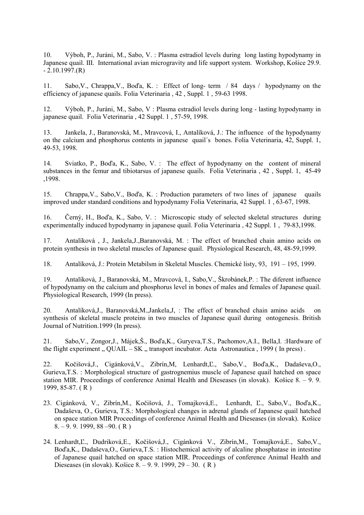10. Výboh, P., Juráni, M., Sabo, V. : Plasma estradiol levels during long lasting hypodynamy in Japanese quail. III. International avian microgravity and life support system. Workshop, Košice 29.9.  $-2.10.1997(R)$ 

11. Sabo,V., Chrappa,V., Boďa, K. : Effect of long- term / 84 days / hypodynamy on the efficiency of japanese quails. Folia Veterinaria , 42 , Suppl. 1 , 59-63 1998.

12. Výboh, P., Juráni, M., Sabo, V : Plasma estradiol levels during long - lasting hypodynamy in japanese quail. Folia Veterinaria , 42 Suppl. 1 , 57-59, 1998.

13. Jankela, J., Baranovská, M., Mravcová, I., Antalíková, J.: The influence of the hypodynamy on the calcium and phosphorus contents in japanese quail´s bones. Folia Veterinaria, 42, Suppl. 1, 49-53, 1998.

14. Sviatko, P., Boďa, K., Sabo, V. : The effect of hypodynamy on the content of mineral substances in the femur and tibiotarsus of japanese quails. Folia Veterinaria , 42 , Suppl. 1, 45-49 ,1998.

15. Chrappa,V., Sabo,V., Boďa, K. : Production parameters of two lines of japanese quails improved under standard conditions and hypodynamy Folia Veterinaria, 42 Suppl. 1 , 63-67, 1998.

16. Černý, H., Boďa, K., Sabo, V. : Microscopic study of selected skeletal structures during experimentally induced hypodynamy in japanese quail. Folia Veterinaria , 42 Suppl. 1 , 79-83,1998.

17. Antalíková , J., Jankela,J.,Baranovská, M. : The effect of branched chain amino acids on protein synthesis in two skeletal muscles of Japanese quail. Physiological Research, 48, 48-59,1999.

18. Antalíková, J.: Protein Metabilsm in Skeletal Muscles. Chemické listy, 93, 191 – 195, 1999.

19. Antalíková, J., Baranovská, M., Mravcová, I., Sabo,V., Škrobánek,P. : The diferent influence of hypodynamy on the calcium and phosphorus level in bones of males and females of Japanese quail. Physiological Research, 1999 (In press).

20. Antalíková,J., Baranovská,M.,Jankela,J, : The effect of branched chain amino acids on synthesis of skeletal muscle proteins in two muscles of Japanese quail during ontogenesis. British Journal of Nutrition.1999 (In press).

21. Sabo,V., Zongor,J., Májek,Š., Boďa,K., Guryeva,T.S., Pachomov,A.I., Bella,I. :Hardware of the flight experiment  $\ldots$  QUAIL – SK  $\ldots$  transport incubator. Acta Astronautica , 1999 (In press).

22. Kočišová,J., Cigánková,V., Zibrín,M, Lenhardt,Ľ., Sabo,V., Boďa,K., Dadaševa,O., Gurieva,T.S. : Morphological structure of gastrognemius muscle of Japanese quail hatched on space station MIR. Proceedings of conference Animal Health and Dieseases (in slovak). Košice 8. – 9. 9. 1999, 85-87. ( R )

- 23. Cigánková, V., Zibrín,M., Kočišová, J., Tomajková,E., Lenhardt, Ľ., Sabo,V., Boďa,K., Dadaševa, O., Gurieva, T.S.: Morphological changes in adrenal glands of Japanese quail hatched on space station MIR Proceedings of conference Animal Health and Dieseases (in slovak). Košice 8. – 9. 9. 1999, 88 –90. ( R )
- 24. Lenhardt,Ľ., Dudriková,E., Kočišová,J., Cigánková V., Zibrín,M., Tomajková,E., Sabo,V., Boďa,K., Dadaševa,O., Gurieva,T.S. : Histochemical activity of alcaline phosphatase in intestine of Japanese quail hatched on space station MIR. Proceedings of conference Animal Health and Dieseases (in slovak). Košice 8. – 9. 9. 1999, 29 – 30. ( R )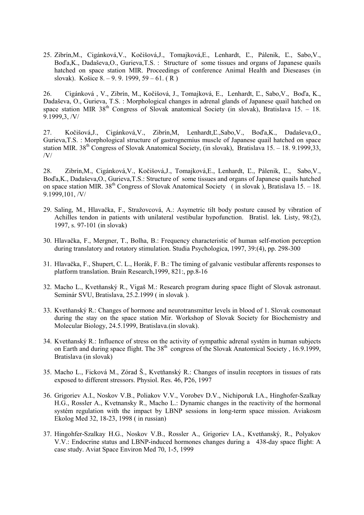25. Zibrín,M., Cigánková,V., Kočišová,J., Tomajková,E., Lenhardt, Ľ., Pálenik, Ľ., Sabo,V., Boďa,K., Dadaševa,O., Gurieva,T.S. : Structure of some tissues and organs of Japanese quails hatched on space station MIR. Proceedings of conference Animal Health and Dieseases (in slovak). Košice 8. – 9. 9. 1999, 59 – 61. ( R )

26. Cigánková , V., Zibrín, M., Kočišová, J., Tomajková, E., Lenhardt, Ľ., Sabo,V., Boďa, K., Dadaševa, O., Gurieva, T.S. : Morphological changes in adrenal glands of Japanese quail hatched on space station MIR 38<sup>th</sup> Congress of Slovak anatomical Society (in slovak), Bratislava 15. – 18. 9.1999,3, /V/

27. Kočišová,J., Cigánková,V., Zibrín,M, Lenhardt,Ľ.,Sabo,V., Boďa,K., Dadaševa,O., Gurieva,T.S. : Morphological structure of gastrognemius muscle of Japanese quail hatched on space station MIR.  $38<sup>th</sup>$  Congress of Slovak Anatomical Society, (in slovak), Bratislava 15. – 18. 9.1999,33, /V/

28. Zibrín,M., Cigánková,V., Kočišová,J., Tomajková,E., Lenhardt, Ľ., Pálenik, Ľ., Sabo,V., Boďa,K., Dadaševa,O., Gurieva,T.S.: Structure of some tissues and organs of Japanese quails hatched on space station MIR. 38<sup>th</sup> Congress of Slovak Anatomical Society (in slovak), Bratislava 15. – 18. 9.1999,101, /V/

- 29. Saling, M., Hlavačka, F., Stražovcová, A.: Asymetric tilt body posture caused by vibration of Achilles tendon in patients with unilateral vestibular hypofunction. Bratisl. lek. Listy, 98:(2), 1997, s. 97-101 (in slovak)
- 30. Hlavačka, F., Mergner, T., Bolha, B.: Frequency characteristic of human self-motion perception during translatory and rotatory stimulation. Studia Psychologica, 1997, 39:(4), pp. 298-300
- 31. Hlavačka, F., Shupert, C. L., Horák, F. B.: The timing of galvanic vestibular afferents responses to platform translation. Brain Research,1999, 821:, pp.8-16
- 32. Macho L., Kvetňanský R., Vigaš M.: Research program during space flight of Slovak astronaut. Seminár SVU, Bratislava, 25.2.1999 ( in slovak ).
- 33. Kvetňanský R.: Changes of hormone and neurotransmitter levels in blood of 1. Slovak cosmonaut during the stay on the space station Mir. Workshop of Slovak Society for Biochemistry and Molecular Biology, 24.5.1999, Bratislava.(in slovak).
- 34. Kvetňanský R.: Influence of stress on the activity of sympathic adrenal systém in human subjects on Earth and during space flight. The  $38<sup>th</sup>$  congress of the Slovak Anatomical Society , 16.9.1999, Bratislava (in slovak)
- 35. Macho L., Ficková M., Zórad Š., Kvetňanský R.: Changes of insulin receptors in tissues of rats exposed to different stressors. Physiol. Res. 46, P26, 1997
- 36. Grigoriev A.I., Noskov V.B., Poliakov V.V., Vorobev D.V., Nichiporuk I.A., Hinghofer-Szalkay H.G., Rossler A., Kvetnansky R., Macho L.: Dynamic changes in the reactivity of the hormonal systém regulation with the impact by LBNP sessions in long-term space mission. Aviakosm Ekolog Med 32, 18-23, 1998 ( in russian)
- 37. Hingohfer-Szalkay H.G., Noskov V.B., Rossler A., Grigoriev I.A., Kvetňanský, R., Polyakov V.V.: Endocrine status and LBNP-induced hormones changes during a 438-day space flight: A case study. Aviat Space Environ Med 70, 1-5, 1999